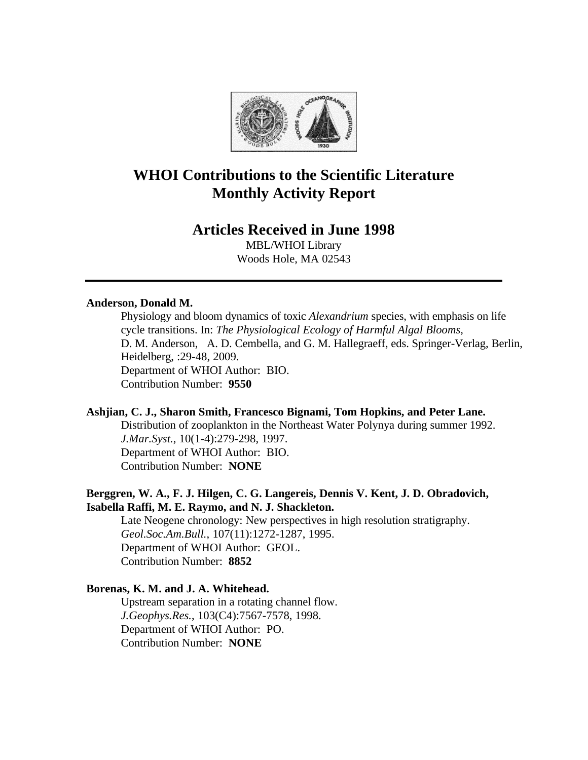

# **WHOI Contributions to the Scientific Literature Monthly Activity Report**

## **Articles Received in June 1998**

MBL/WHOI Library Woods Hole, MA 02543

## **Anderson, Donald M.**

Physiology and bloom dynamics of toxic *Alexandrium* species, with emphasis on life cycle transitions. In: *The Physiological Ecology of Harmful Algal Blooms,* D. M. Anderson, A. D. Cembella, and G. M. Hallegraeff, eds. Springer-Verlag, Berlin, Heidelberg, :29-48, 2009. Department of WHOI Author: BIO. Contribution Number: **9550**

## **Ashjian, C. J., Sharon Smith, Francesco Bignami, Tom Hopkins, and Peter Lane.**

Distribution of zooplankton in the Northeast Water Polynya during summer 1992. *J.Mar.Syst.*, 10(1-4):279-298, 1997. Department of WHOI Author: BIO. Contribution Number: **NONE**

## **Berggren, W. A., F. J. Hilgen, C. G. Langereis, Dennis V. Kent, J. D. Obradovich, Isabella Raffi, M. E. Raymo, and N. J. Shackleton.**

Late Neogene chronology: New perspectives in high resolution stratigraphy. *Geol.Soc.Am.Bull.*, 107(11):1272-1287, 1995. Department of WHOI Author: GEOL. Contribution Number: **8852**

## **Borenas, K. M. and J. A. Whitehead.**

Upstream separation in a rotating channel flow. *J.Geophys.Res.*, 103(C4):7567-7578, 1998. Department of WHOI Author: PO. Contribution Number: **NONE**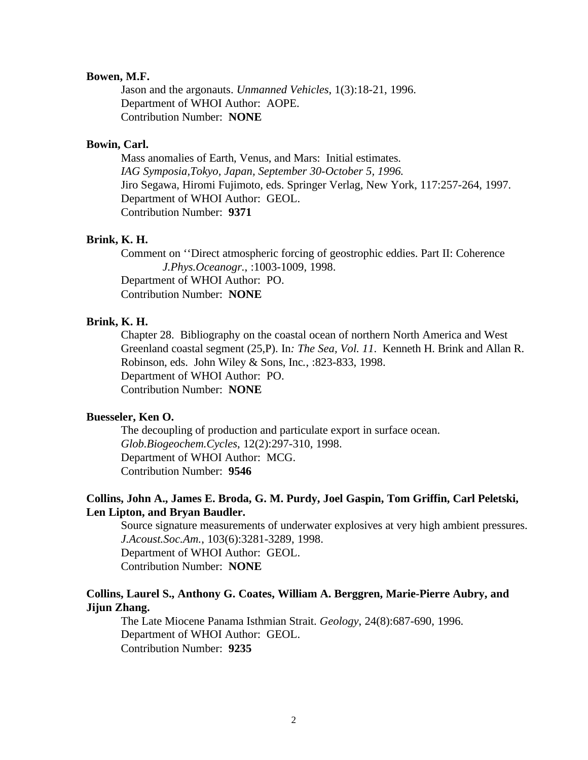#### **Bowen, M.F.**

Jason and the argonauts. *Unmanned Vehicles*, 1(3):18-21, 1996. Department of WHOI Author: AOPE. Contribution Number: **NONE**

## **Bowin, Carl.**

Mass anomalies of Earth, Venus, and Mars: Initial estimates. *IAG Symposia,Tokyo, Japan, September 30-October 5, 1996.* Jiro Segawa, Hiromi Fujimoto, eds. Springer Verlag, New York, 117:257-264, 1997. Department of WHOI Author: GEOL. Contribution Number: **9371**

#### **Brink, K. H.**

Comment on ''Direct atmospheric forcing of geostrophic eddies. Part II: Coherence *J.Phys.Oceanogr.*, :1003-1009, 1998. Department of WHOI Author: PO. Contribution Number: **NONE**

## **Brink, K. H.**

Chapter 28. Bibliography on the coastal ocean of northern North America and West Greenland coastal segment (25,P). In*: The Sea, Vol. 11*. Kenneth H. Brink and Allan R. Robinson, eds. John Wiley & Sons, Inc*.*, :823-833, 1998. Department of WHOI Author: PO. Contribution Number: **NONE**

## **Buesseler, Ken O.**

The decoupling of production and particulate export in surface ocean. *Glob.Biogeochem.Cycles*, 12(2):297-310, 1998. Department of WHOI Author: MCG. Contribution Number: **9546**

## **Collins, John A., James E. Broda, G. M. Purdy, Joel Gaspin, Tom Griffin, Carl Peletski, Len Lipton, and Bryan Baudler.**

Source signature measurements of underwater explosives at very high ambient pressures. *J.Acoust.Soc.Am.*, 103(6):3281-3289, 1998. Department of WHOI Author: GEOL. Contribution Number: **NONE**

## **Collins, Laurel S., Anthony G. Coates, William A. Berggren, Marie-Pierre Aubry, and Jijun Zhang.**

The Late Miocene Panama Isthmian Strait. *Geology*, 24(8):687-690, 1996. Department of WHOI Author: GEOL. Contribution Number: **9235**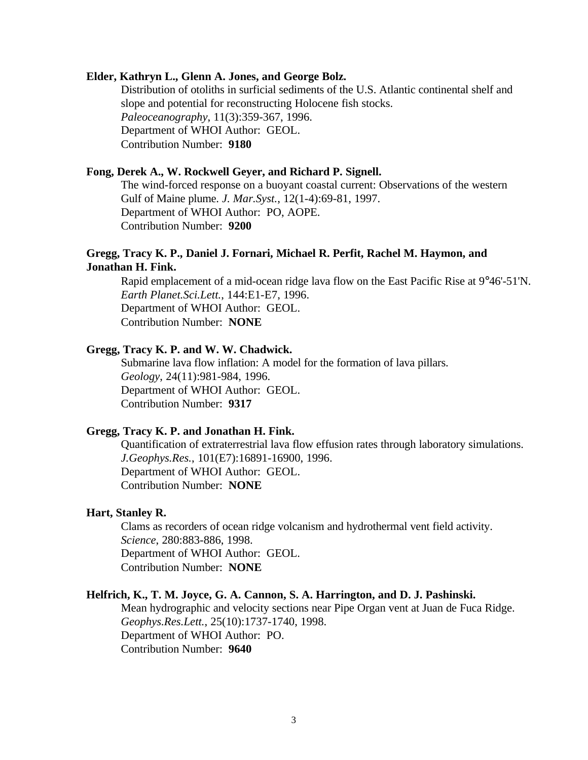#### **Elder, Kathryn L., Glenn A. Jones, and George Bolz.**

Distribution of otoliths in surficial sediments of the U.S. Atlantic continental shelf and slope and potential for reconstructing Holocene fish stocks. *Paleoceanography*, 11(3):359-367, 1996. Department of WHOI Author: GEOL. Contribution Number: **9180**

#### **Fong, Derek A., W. Rockwell Geyer, and Richard P. Signell.**

The wind-forced response on a buoyant coastal current: Observations of the western Gulf of Maine plume. *J. Mar.Syst.*, 12(1-4):69-81, 1997. Department of WHOI Author: PO, AOPE. Contribution Number: **9200**

## **Gregg, Tracy K. P., Daniel J. Fornari, Michael R. Perfit, Rachel M. Haymon, and Jonathan H. Fink.**

Rapid emplacement of a mid-ocean ridge lava flow on the East Pacific Rise at 9°46'-51'N. *Earth Planet.Sci.Lett.*, 144:E1-E7, 1996. Department of WHOI Author: GEOL. Contribution Number: **NONE**

#### **Gregg, Tracy K. P. and W. W. Chadwick.**

Submarine lava flow inflation: A model for the formation of lava pillars. *Geology*, 24(11):981-984, 1996. Department of WHOI Author: GEOL. Contribution Number: **9317**

#### **Gregg, Tracy K. P. and Jonathan H. Fink.**

Quantification of extraterrestrial lava flow effusion rates through laboratory simulations. *J.Geophys.Res.*, 101(E7):16891-16900, 1996. Department of WHOI Author: GEOL. Contribution Number: **NONE**

#### **Hart, Stanley R.**

Clams as recorders of ocean ridge volcanism and hydrothermal vent field activity. *Science*, 280:883-886, 1998. Department of WHOI Author: GEOL. Contribution Number: **NONE**

#### **Helfrich, K., T. M. Joyce, G. A. Cannon, S. A. Harrington, and D. J. Pashinski.**

Mean hydrographic and velocity sections near Pipe Organ vent at Juan de Fuca Ridge. *Geophys.Res.Lett.*, 25(10):1737-1740, 1998. Department of WHOI Author: PO. Contribution Number: **9640**